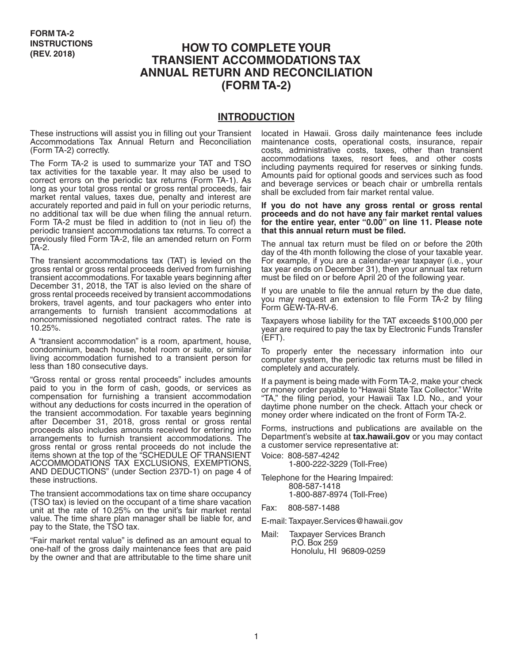# **HOW TO COMPLETE YOUR TRANSIENT ACCOMMODATIONS TAX ANNUAL RETURN AND RECONCILIATION (FORM TA-2)**

#### **INTRODUCTION**

These instructions will assist you in filling out your Transient Accommodations Tax Annual Return and Reconciliation (Form TA-2) correctly.

The Form TA-2 is used to summarize your TAT and TSO tax activities for the taxable year. It may also be used to correct errors on the periodic tax returns (Form TA-1). As long as your total gross rental or gross rental proceeds, fair market rental values, taxes due, penalty and interest are accurately reported and paid in full on your periodic returns, no additional tax will be due when filing the annual return. Form TA-2 must be filed in addition to (not in lieu of) the periodic transient accommodations tax returns. To correct a previously filed Form TA-2, file an amended return on Form TA-2.

The transient accommodations tax (TAT) is levied on the gross rental or gross rental proceeds derived from furnishing transient accommodations. For taxable years beginning after December 31, 2018, the TAT is also levied on the share of gross rental proceeds received by transient accommodations brokers, travel agents, and tour packagers who enter into arrangements to furnish transient accommodations at noncommissioned negotiated contract rates. The rate is 10.25%.

A "transient accommodation" is a room, apartment, house, condominium, beach house, hotel room or suite, or similar living accommodation furnished to a transient person for less than 180 consecutive days.

"Gross rental or gross rental proceeds" includes amounts paid to you in the form of cash, goods, or services as compensation for furnishing a transient accommodation without any deductions for costs incurred in the operation of the transient accommodation. For taxable years beginning after December 31, 2018, gross rental or gross rental proceeds also includes amounts received for entering into arrangements to furnish transient accommodations. The gross rental or gross rental proceeds do not include the items shown at the top of the "SCHEDULE OF TRANSIENT ACCOMMODATIONS TAX EXCLUSIONS, EXEMPTIONS, AND DEDUCTIONS" (under Section 237D-1) on page 4 of these instructions.

The transient accommodations tax on time share occupancy (TSO tax) is levied on the occupant of a time share vacation unit at the rate of 10.25% on the unit's fair market rental value. The time share plan manager shall be liable for, and pay to the State, the TSO tax.

"Fair market rental value" is defined as an amount equal to one-half of the gross daily maintenance fees that are paid by the owner and that are attributable to the time share unit located in Hawaii. Gross daily maintenance fees include maintenance costs, operational costs, insurance, repair costs, administrative costs, taxes, other than transient accommodations taxes, resort fees, and other costs including payments required for reserves or sinking funds. Amounts paid for optional goods and services such as food and beverage services or beach chair or umbrella rentals shall be excluded from fair market rental value.

**If you do not have any gross rental or gross rental proceeds and do not have any fair market rental values for the entire year, enter "0.00" on line 11. Please note that this annual return must be filed.** 

The annual tax return must be filed on or before the 20th day of the 4th month following the close of your taxable year. For example, if you are a calendar-year taxpayer (i.e., your tax year ends on December 31), then your annual tax return must be filed on or before April 20 of the following year.

If you are unable to file the annual return by the due date, you may request an extension to file Form TA-2 by filing Form GEW-TA-RV-6.

Taxpayers whose liability for the TAT exceeds \$100,000 per year are required to pay the tax by Electronic Funds Transfer (EFT).

To properly enter the necessary information into our computer system, the periodic tax returns must be filled in completely and accurately.

If a payment is being made with Form TA-2, make your check or money order payable to "Hawaii State Tax Collector." Write "TA," the filing period, your Hawaii Tax I.D. No., and your daytime phone number on the check. Attach your check or money order where indicated on the front of Form TA-2.

Forms, instructions and publications are available on the Department's website at **tax.hawaii.gov** or you may contact a customer service representative at:

Voice: 808-587-4242 1-800-222-3229 (Toll-Free)

Telephone for the Hearing Impaired: 808-587-1418

1-800-887-8974 (Toll-Free)

Fax: 808-587-1488

E-mail: Taxpayer.Services@hawaii.gov

Mail: Taxpayer Services Branch P.O. Box 259 Honolulu, HI 96809-0259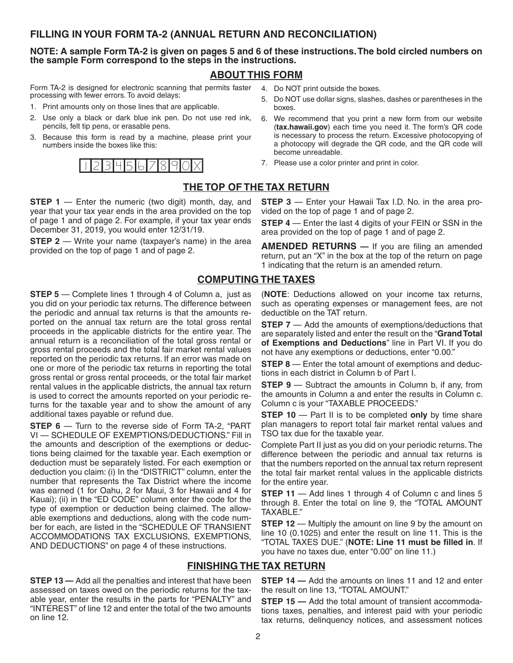### **FILLING IN YOUR FORM TA-2 (ANNUAL RETURN AND RECONCILIATION)**

#### **NOTE: A sample Form TA-2 is given on pages 5 and 6 of these instructions. The bold circled numbers on the sample Form correspond to the steps in the instructions.**

## **ABOUT THIS FORM**

Form TA-2 is designed for electronic scanning that permits faster processing with fewer errors. To avoid delays:

- 1. Print amounts only on those lines that are applicable.
- 2. Use only a black or dark blue ink pen. Do not use red ink, pencils, felt tip pens, or erasable pens.
- 3. Because this form is read by a machine, please print your numbers inside the boxes like this:

**1234567890x**

4. Do NOT print outside the boxes.

- 5. Do NOT use dollar signs, slashes, dashes or parentheses in the boxes.
- 6. We recommend that you print a new form from our website (**tax.hawaii.gov**) each time you need it. The form's QR code is necessary to process the return. Excessive photocopying of a photocopy will degrade the QR code, and the QR code will become unreadable.
- 7. Please use a color printer and print in color.

vided on the top of page 1 and of page 2.

### **THE TOP OF THE TAX RETURN**

**STEP 1** — Enter the numeric (two digit) month, day, and year that your tax year ends in the area provided on the top of page 1 and of page 2. For example, if your tax year ends December 31, 2019, you would enter 12/31/19.

**STEP 2** — Write your name (taxpayer's name) in the area provided on the top of page 1 and of page 2.

**STEP 4** — Enter the last 4 digits of your FEIN or SSN in the area provided on the top of page 1 and of page 2.

**STEP 3** — Enter your Hawaii Tax I.D. No. in the area pro-

**AMENDED RETURNS** — If you are filing an amended return, put an "X" in the box at the top of the return on page 1 indicating that the return is an amended return.

# **COMPUTING THE TAXES**

**STEP 5** — Complete lines 1 through 4 of Column a, just as you did on your periodic tax returns. The difference between the periodic and annual tax returns is that the amounts reported on the annual tax return are the total gross rental proceeds in the applicable districts for the entire year. The annual return is a reconciliation of the total gross rental or gross rental proceeds and the total fair market rental values reported on the periodic tax returns. If an error was made on one or more of the periodic tax returns in reporting the total gross rental or gross rental proceeds, or the total fair market rental values in the applicable districts, the annual tax return is used to correct the amounts reported on your periodic returns for the taxable year and to show the amount of any additional taxes payable or refund due.

**STEP 6** — Turn to the reverse side of Form TA-2, "PART VI — SCHEDULE OF EXEMPTIONS/DEDUCTIONS." Fill in the amounts and description of the exemptions or deductions being claimed for the taxable year. Each exemption or deduction must be separately listed. For each exemption or deduction you claim: (i) In the "DISTRICT" column, enter the number that represents the Tax District where the income was earned (1 for Oahu, 2 for Maui, 3 for Hawaii and 4 for Kauai); (ii) in the "ED CODE" column enter the code for the type of exemption or deduction being claimed. The allowable exemptions and deductions, along with the code number for each, are listed in the "SCHEDULE OF TRANSIENT ACCOMMODATIONS TAX EXCLUSIONS, EXEMPTIONS, AND DEDUCTIONS" on page 4 of these instructions.

(**NOTE**: Deductions allowed on your income tax returns, such as operating expenses or management fees, are not deductible on the TAT return.

**STEP 7** — Add the amounts of exemptions/deductions that are separately listed and enter the result on the "**Grand Total of Exemptions and Deductions**" line in Part VI. If you do not have any exemptions or deductions, enter "0.00."

**STEP 8** — Enter the total amount of exemptions and deductions in each district in Column b of Part I.

**STEP 9** — Subtract the amounts in Column b, if any, from the amounts in Column a and enter the results in Column c. Column c is your "TAXABLE PROCEEDS."

**STEP 10** — Part II is to be completed **only** by time share plan managers to report total fair market rental values and TSO tax due for the taxable year.

Complete Part II just as you did on your periodic returns. The difference between the periodic and annual tax returns is that the numbers reported on the annual tax return represent the total fair market rental values in the applicable districts for the entire year.

**STEP 11** — Add lines 1 through 4 of Column c and lines 5 through 8. Enter the total on line 9, the "TOTAL AMOUNT TAXABLE."

**STEP 12** — Multiply the amount on line 9 by the amount on line 10 (0.1025) and enter the result on line 11. This is the "TOTAL TAXES DUE." (**NOTE: Line 11 must be filled in**. If you have no taxes due, enter "0.00" on line 11.)

## **FINISHING THE TAX RETURN**

**STEP 13** — Add all the penalties and interest that have been assessed on taxes owed on the periodic returns for the taxable year, enter the results in the parts for "PENALTY" and "INTEREST" of line 12 and enter the total of the two amounts on line 12.

**STEP 14 —** Add the amounts on lines 11 and 12 and enter the result on line 13, "TOTAL AMOUNT."

**STEP 15 – Add the total amount of transient accommoda**tions taxes, penalties, and interest paid with your periodic tax returns, delinquency notices, and assessment notices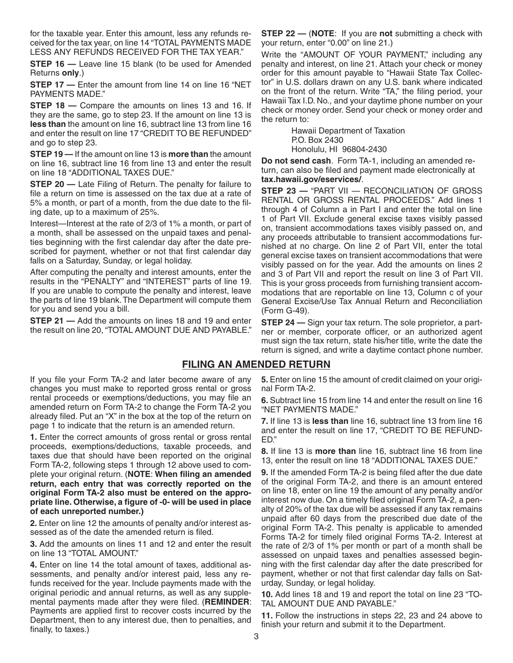for the taxable year. Enter this amount, less any refunds received for the tax year, on line 14 "TOTAL PAYMENTS MADE LESS ANY REFUNDS RECEIVED FOR THE TAX YEAR."

**STEP 16 –** Leave line 15 blank (to be used for Amended Returns **only**.)

**STEP 17** - Enter the amount from line 14 on line 16 "NET PAYMENTS MADE."

**STEP 18 —** Compare the amounts on lines 13 and 16. If they are the same, go to step 23. If the amount on line 13 is **less than** the amount on line 16, subtract line 13 from line 16 and enter the result on line 17 "CREDIT TO BE REFUNDED" and go to step 23.

**STEP 19 —** If the amount on line 13 is **more than** the amount on line 16, subtract line 16 from line 13 and enter the result on line 18 "ADDITIONAL TAXES DUE."

**STEP 20 - Late Filing of Return. The penalty for failure to** file a return on time is assessed on the tax due at a rate of 5% a month, or part of a month, from the due date to the filing date, up to a maximum of 25%.

Interest—Interest at the rate of 2/3 of 1% a month, or part of a month, shall be assessed on the unpaid taxes and penalties beginning with the first calendar day after the date prescribed for payment, whether or not that first calendar day falls on a Saturday, Sunday, or legal holiday.

After computing the penalty and interest amounts, enter the results in the "PENALTY" and "INTEREST" parts of line 19. If you are unable to compute the penalty and interest, leave the parts of line 19 blank. The Department will compute them for you and send you a bill.

**STEP 21** — Add the amounts on lines 18 and 19 and enter the result on line 20, "TOTAL AMOUNT DUE AND PAYABLE."

**STEP 22 —** (**NOTE**: If you are **not** submitting a check with your return, enter "0.00" on line 21.)

Write the "AMOUNT OF YOUR PAYMENT," including any penalty and interest, on line 21. Attach your check or money order for this amount payable to "Hawaii State Tax Collector" in U.S. dollars drawn on any U.S. bank where indicated on the front of the return. Write "TA," the filing period, your Hawaii Tax I.D. No., and your daytime phone number on your check or money order. Send your check or money order and the return to:

> Hawaii Department of Taxation P.O. Box 2430 Honolulu, HI 96804-2430

**Do not send cash**. Form TA-1, including an amended return, can also be filed and payment made electronically at **tax.hawaii.gov/eservices/**.

**STEP 23 —** "PART VII — RECONCILIATION OF GROSS RENTAL OR GROSS RENTAL PROCEEDS." Add lines 1 through 4 of Column a in Part I and enter the total on line 1 of Part VII. Exclude general excise taxes visibly passed on, transient accommodations taxes visibly passed on, and any proceeds attributable to transient accommodations furnished at no charge. On line 2 of Part VII, enter the total general excise taxes on transient accommodations that were visibly passed on for the year. Add the amounts on lines 2 and 3 of Part VII and report the result on line 3 of Part VII. This is your gross proceeds from furnishing transient accommodations that are reportable on line 13, Column c of your General Excise/Use Tax Annual Return and Reconciliation (Form G-49).

**STEP 24 —** Sign your tax return. The sole proprietor, a partner or member, corporate officer, or an authorized agent must sign the tax return, state his/her title, write the date the return is signed, and write a daytime contact phone number.

### **FILING AN AMENDED RETURN**

If you file your Form TA-2 and later become aware of any changes you must make to reported gross rental or gross rental proceeds or exemptions/deductions, you may file an amended return on Form TA-2 to change the Form TA-2 you already filed. Put an "X" in the box at the top of the return on page 1 to indicate that the return is an amended return.

**1.** Enter the correct amounts of gross rental or gross rental proceeds, exemptions/deductions, taxable proceeds, and taxes due that should have been reported on the original Form TA-2, following steps 1 through 12 above used to complete your original return. (**NOTE**: **When filing an amended return, each entry that was correctly reported on the original Form TA-2 also must be entered on the appropriate line. Otherwise, a figure of -0- will be used in place of each unreported number.)**

**2.** Enter on line 12 the amounts of penalty and/or interest assessed as of the date the amended return is filed.

**3.** Add the amounts on lines 11 and 12 and enter the result on line 13 "TOTAL AMOUNT."

**4.** Enter on line 14 the total amount of taxes, additional assessments, and penalty and/or interest paid, less any refunds received for the year. Include payments made with the original periodic and annual returns, as well as any supplemental payments made after they were filed. (**REMINDER**: Payments are applied first to recover costs incurred by the Department, then to any interest due, then to penalties, and finally, to taxes.)

**5.** Enter on line 15 the amount of credit claimed on your original Form TA-2.

**6.** Subtract line 15 from line 14 and enter the result on line 16 "NET PAYMENTS MADE."

**7.** If line 13 is **less than** line 16, subtract line 13 from line 16 and enter the result on line 17, "CREDIT TO BE REFUND-ED."

**8.** If line 13 is **more than** line 16, subtract line 16 from line 13, enter the result on line 18 "ADDITIONAL TAXES DUE."

**9.** If the amended Form TA-2 is being filed after the due date of the original Form TA-2, and there is an amount entered on line 18, enter on line 19 the amount of any penalty and/or interest now due. On a timely filed original Form TA-2, a penalty of 20% of the tax due will be assessed if any tax remains unpaid after 60 days from the prescribed due date of the original Form TA-2. This penalty is applicable to amended Forms TA-2 for timely filed original Forms TA-2. Interest at the rate of 2/3 of 1% per month or part of a month shall be assessed on unpaid taxes and penalties assessed beginning with the first calendar day after the date prescribed for payment, whether or not that first calendar day falls on Saturday, Sunday, or legal holiday.

**10.** Add lines 18 and 19 and report the total on line 23 "TO-TAL AMOUNT DUE AND PAYABLE."

**11.** Follow the instructions in steps 22, 23 and 24 above to finish your return and submit it to the Department.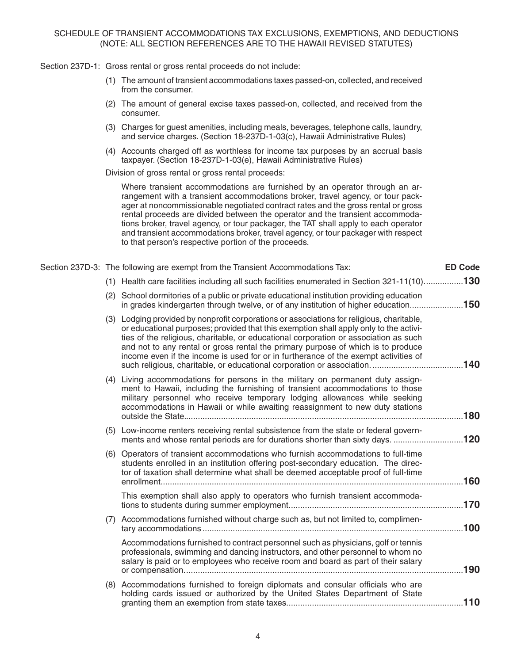#### SCHEDULE OF TRANSIENT ACCOMMODATIONS TAX EXCLUSIONS, EXEMPTIONS, AND DEDUCTIONS (NOTE: ALL SECTION REFERENCES ARE TO THE HAWAII REVISED STATUTES)

Section 237D-1: Gross rental or gross rental proceeds do not include:

- (1) The amount of transient accommodations taxes passed-on, collected, and received from the consumer.
- (2) The amount of general excise taxes passed-on, collected, and received from the consumer.
- (3) Charges for guest amenities, including meals, beverages, telephone calls, laundry, and service charges. (Section 18-237D-1-03(c), Hawaii Administrative Rules)
- (4) Accounts charged off as worthless for income tax purposes by an accrual basis taxpayer. (Section 18-237D-1-03(e), Hawaii Administrative Rules)

Division of gross rental or gross rental proceeds:

Where transient accommodations are furnished by an operator through an arrangement with a transient accommodations broker, travel agency, or tour packager at noncommissionable negotiated contract rates and the gross rental or gross rental proceeds are divided between the operator and the transient accommodations broker, travel agency, or tour packager, the TAT shall apply to each operator and transient accommodations broker, travel agency, or tour packager with respect to that person's respective portion of the proceeds.

|  | Section 237D-3: The following are exempt from the Transient Accommodations Tax:                                                                                                                                                                                                                                                                                                                                                                       | <b>ED Code</b> |
|--|-------------------------------------------------------------------------------------------------------------------------------------------------------------------------------------------------------------------------------------------------------------------------------------------------------------------------------------------------------------------------------------------------------------------------------------------------------|----------------|
|  | (1) Health care facilities including all such facilities enumerated in Section 321-11(10)130                                                                                                                                                                                                                                                                                                                                                          |                |
|  | (2) School dormitories of a public or private educational institution providing education<br>in grades kindergarten through twelve, or of any institution of higher education150                                                                                                                                                                                                                                                                      |                |
|  | (3) Lodging provided by nonprofit corporations or associations for religious, charitable,<br>or educational purposes; provided that this exemption shall apply only to the activi-<br>ties of the religious, charitable, or educational corporation or association as such<br>and not to any rental or gross rental the primary purpose of which is to produce<br>income even if the income is used for or in furtherance of the exempt activities of | 140            |
|  | (4) Living accommodations for persons in the military on permanent duty assign-<br>ment to Hawaii, including the furnishing of transient accommodations to those<br>military personnel who receive temporary lodging allowances while seeking<br>accommodations in Hawaii or while awaiting reassignment to new duty stations                                                                                                                         | 180            |
|  | (5) Low-income renters receiving rental subsistence from the state or federal govern-<br>ments and whose rental periods are for durations shorter than sixty days                                                                                                                                                                                                                                                                                     | 120            |
|  | (6) Operators of transient accommodations who furnish accommodations to full-time<br>students enrolled in an institution offering post-secondary education. The direc-<br>tor of taxation shall determine what shall be deemed acceptable proof of full-time                                                                                                                                                                                          | 160            |
|  | This exemption shall also apply to operators who furnish transient accommoda-                                                                                                                                                                                                                                                                                                                                                                         | .170           |
|  | (7) Accommodations furnished without charge such as, but not limited to, complimen-                                                                                                                                                                                                                                                                                                                                                                   | 100            |
|  | Accommodations furnished to contract personnel such as physicians, golf or tennis<br>professionals, swimming and dancing instructors, and other personnel to whom no<br>salary is paid or to employees who receive room and board as part of their salary                                                                                                                                                                                             | 190            |
|  | (8) Accommodations furnished to foreign diplomats and consular officials who are<br>holding cards issued or authorized by the United States Department of State                                                                                                                                                                                                                                                                                       | 110            |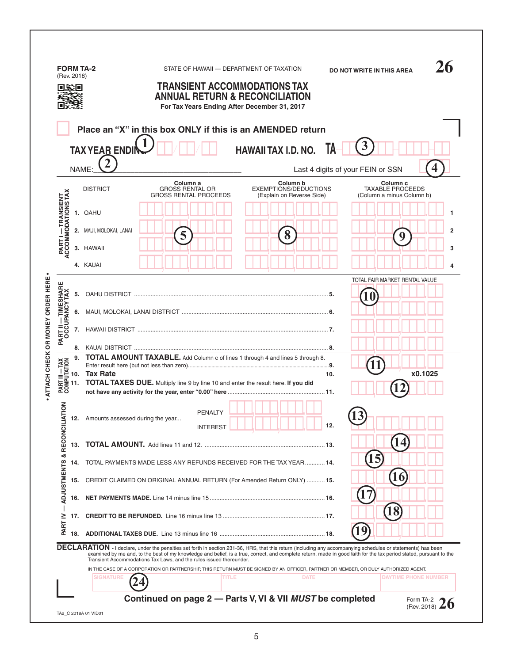|                                                                                                                          |                                                                                                                                  | (Rev. 2018)<br>回線回                     | <b>FORM TA-2</b>                                                                                  | STATE OF HAWAII - DEPARTMENT OF TAXATION<br><b>TRANSIENT ACCOMMODATIONS TAX</b><br><b>ANNUAL RETURN &amp; RECONCILIATION</b>                                                                                                                                                                                                                                                                                                                                                                                                                                                                                                                                                                       |                                                                                                                                          |                                                                     |             | <b>DO NOT WRITE IN THIS AREA</b> |                                                                                                                               |                     |  |  |
|--------------------------------------------------------------------------------------------------------------------------|----------------------------------------------------------------------------------------------------------------------------------|----------------------------------------|---------------------------------------------------------------------------------------------------|----------------------------------------------------------------------------------------------------------------------------------------------------------------------------------------------------------------------------------------------------------------------------------------------------------------------------------------------------------------------------------------------------------------------------------------------------------------------------------------------------------------------------------------------------------------------------------------------------------------------------------------------------------------------------------------------------|------------------------------------------------------------------------------------------------------------------------------------------|---------------------------------------------------------------------|-------------|----------------------------------|-------------------------------------------------------------------------------------------------------------------------------|---------------------|--|--|
|                                                                                                                          |                                                                                                                                  | NAME:                                  | <b>TAX YEAR ENDIN</b>                                                                             |                                                                                                                                                                                                                                                                                                                                                                                                                                                                                                                                                                                                                                                                                                    | For Tax Years Ending After December 31, 2017<br>Place an "X" in this box ONLY if this is an AMENDED return<br><b>HAWAII TAX I.D. NO.</b> |                                                                     |             |                                  | 3<br>Last 4 digits of your FEIN or SSN                                                                                        |                     |  |  |
| ATTACH CHECK OR MONEY ORDER HERE                                                                                         | <b>PARTI — TRANSIENT<br/>ACCOMMODATIONS TAX</b><br><b>PART II — TIMESHARE<br/>OCCUPANCY TAX</b><br>PART III - TAX<br>COMPUTATION | 5.<br>6.<br>8.<br>9.<br>10.<br>11.     | <b>DISTRICT</b><br>1. OAHU<br>2. MAUI, MOLOKAI, LANAI<br>3. HAWAII<br>4. KAUAI<br><b>Tax Rate</b> | Column a<br>GROSS RENTAL OR<br><b>GROSS RENTAL PROCEEDS</b><br><b>TOTAL AMOUNT TAXABLE.</b> Add Column c of lines 1 through 4 and lines 5 through 8.<br>TOTAL TAXES DUE. Multiply line 9 by line 10 and enter the result here. If you did                                                                                                                                                                                                                                                                                                                                                                                                                                                          |                                                                                                                                          | Column b<br>EXEMPTIONS/DEDUCTIONS<br>(Explain on Reverse Side)<br>8 |             | 10.                              | Column <sub>c</sub><br><b>TAXABLE PROCEEDS</b><br>(Column a minus Column b)<br>q<br>TOTAL FAIR MARKET RENTAL VALUE<br>x0.1025 | $\overline{2}$<br>4 |  |  |
|                                                                                                                          | ADJUSTMENTS & RECONCILIATION<br>PART IV                                                                                          | 13.<br>14.<br>15.<br>16.<br>17.<br>18. | <b>12.</b> Amounts assessed during the year<br>SIGNATURE                                          | TOTAL PAYMENTS MADE LESS ANY REFUNDS RECEIVED FOR THE TAX YEAR 14.<br>CREDIT CLAIMED ON ORIGINAL ANNUAL RETURN (For Amended Return ONLY)  15.<br>DECLARATION - I declare, under the penalties set forth in section 231-36, HRS, that this return (including any accompanying schedules or statements) has been<br>examined by me and, to the best of my knowledge and belief, is a true, correct, and complete return, made in good faith for the tax period stated, pursuant to the<br>Transient Accommodations Tax Laws, and the rules issued thereunder.<br>IN THE CASE OF A CORPORATION OR PARTNERSHIP, THIS RETURN MUST BE SIGNED BY AN OFFICER, PARTNER OR MEMBER, OR DULY AUTHORIZED AGENT. | <b>PENALTY</b><br><b>INTEREST</b><br>TITLE                                                                                               |                                                                     | <b>DATE</b> | 12.<br>9                         | 18<br><b>DAYTIME PHONE NUMBER</b>                                                                                             |                     |  |  |
| Continued on page 2 - Parts V, VI & VII MUST be completed<br>Form TA-2<br>(Rev. 2018) $\angle$ U<br>TA2_C 2018A 01 VID01 |                                                                                                                                  |                                        |                                                                                                   |                                                                                                                                                                                                                                                                                                                                                                                                                                                                                                                                                                                                                                                                                                    |                                                                                                                                          |                                                                     |             |                                  |                                                                                                                               |                     |  |  |